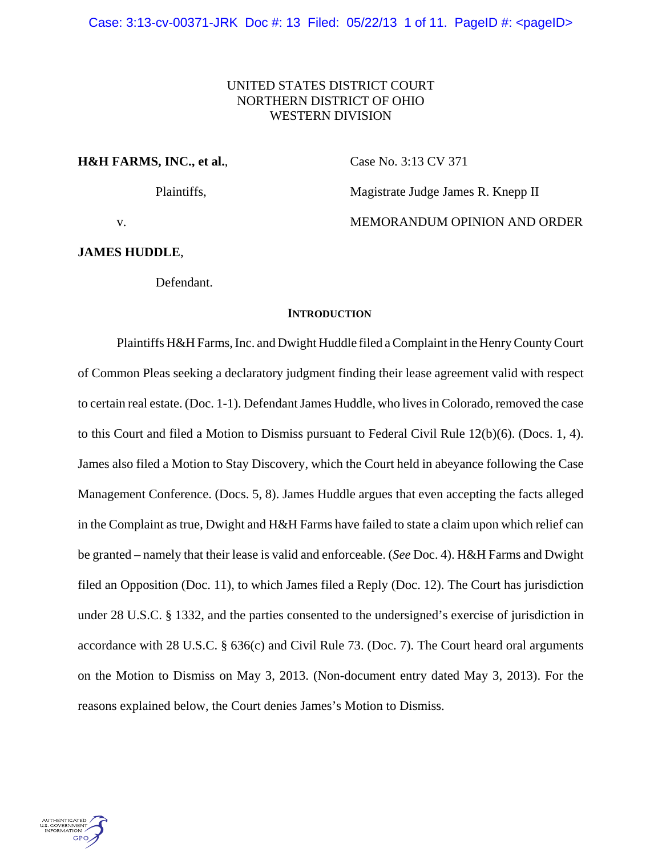# UNITED STATES DISTRICT COURT NORTHERN DISTRICT OF OHIO WESTERN DIVISION

## **H&H FARMS, INC., et al., Case No. 3:13 CV 371**

Plaintiffs, Magistrate Judge James R. Knepp II

v. **MEMORANDUM OPINION AND ORDER** 

## **JAMES HUDDLE**,

Defendant.

### **INTRODUCTION**

Plaintiffs H&H Farms, Inc. and Dwight Huddle filed a Complaint in the Henry County Court of Common Pleas seeking a declaratory judgment finding their lease agreement valid with respect to certain real estate. (Doc. 1-1). Defendant James Huddle, who lives in Colorado, removed the case to this Court and filed a Motion to Dismiss pursuant to Federal Civil Rule 12(b)(6). (Docs. 1, 4). James also filed a Motion to Stay Discovery, which the Court held in abeyance following the Case Management Conference. (Docs. 5, 8). James Huddle argues that even accepting the facts alleged in the Complaint as true, Dwight and H&H Farms have failed to state a claim upon which relief can be granted – namely that their lease is valid and enforceable. (*See* Doc. 4). H&H Farms and Dwight filed an Opposition (Doc. 11), to which James filed a Reply (Doc. 12). The Court has jurisdiction under 28 U.S.C. § 1332, and the parties consented to the undersigned's exercise of jurisdiction in accordance with 28 U.S.C. § 636(c) and Civil Rule 73. (Doc. 7). The Court heard oral arguments on the Motion to Dismiss on May 3, 2013. (Non-document entry dated May 3, 2013). For the reasons explained below, the Court denies James's Motion to Dismiss.

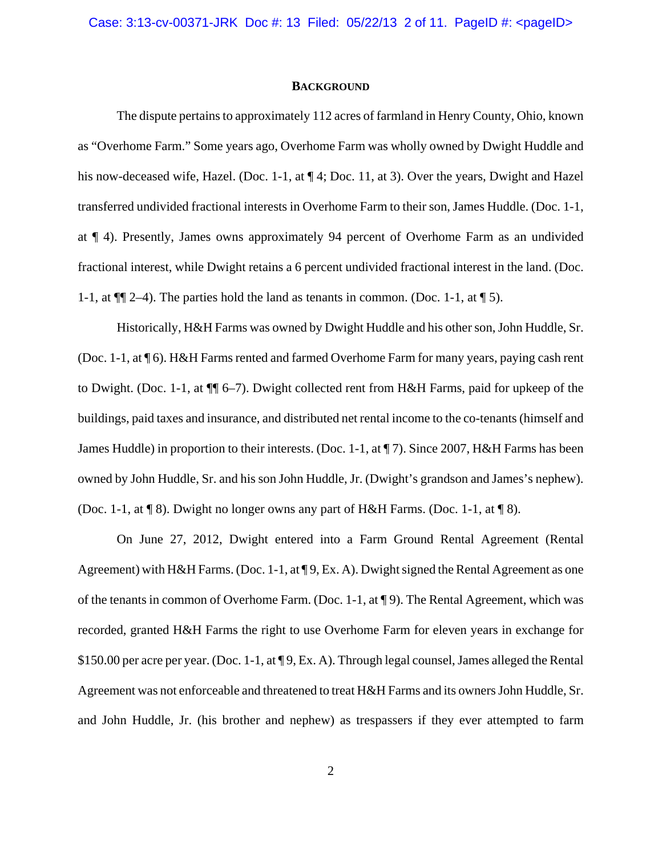### **BACKGROUND**

The dispute pertains to approximately 112 acres of farmland in Henry County, Ohio, known as "Overhome Farm." Some years ago, Overhome Farm was wholly owned by Dwight Huddle and his now-deceased wife, Hazel. (Doc. 1-1, at  $\P$ 4; Doc. 11, at 3). Over the years, Dwight and Hazel transferred undivided fractional interests in Overhome Farm to their son, James Huddle. (Doc. 1-1, at ¶ 4). Presently, James owns approximately 94 percent of Overhome Farm as an undivided fractional interest, while Dwight retains a 6 percent undivided fractional interest in the land. (Doc. 1-1, at  $\P$ [ $\uparrow$  2–4). The parties hold the land as tenants in common. (Doc. 1-1, at  $\P$  5).

Historically, H&H Farms was owned by Dwight Huddle and his other son, John Huddle, Sr. (Doc. 1-1, at ¶ 6). H&H Farms rented and farmed Overhome Farm for many years, paying cash rent to Dwight. (Doc. 1-1, at ¶¶ 6–7). Dwight collected rent from H&H Farms, paid for upkeep of the buildings, paid taxes and insurance, and distributed net rental income to the co-tenants (himself and James Huddle) in proportion to their interests. (Doc. 1-1, at ¶ 7). Since 2007, H&H Farms has been owned by John Huddle, Sr. and his son John Huddle, Jr. (Dwight's grandson and James's nephew). (Doc. 1-1, at ¶ 8). Dwight no longer owns any part of H&H Farms. (Doc. 1-1, at ¶ 8).

On June 27, 2012, Dwight entered into a Farm Ground Rental Agreement (Rental Agreement) with H&H Farms. (Doc. 1-1, at  $\P$ 9, Ex. A). Dwight signed the Rental Agreement as one of the tenants in common of Overhome Farm. (Doc. 1-1, at ¶ 9). The Rental Agreement, which was recorded, granted H&H Farms the right to use Overhome Farm for eleven years in exchange for \$150.00 per acre per year. (Doc. 1-1, at ¶ 9, Ex. A). Through legal counsel, James alleged the Rental Agreement was not enforceable and threatened to treat H&H Farms and its owners John Huddle, Sr. and John Huddle, Jr. (his brother and nephew) as trespassers if they ever attempted to farm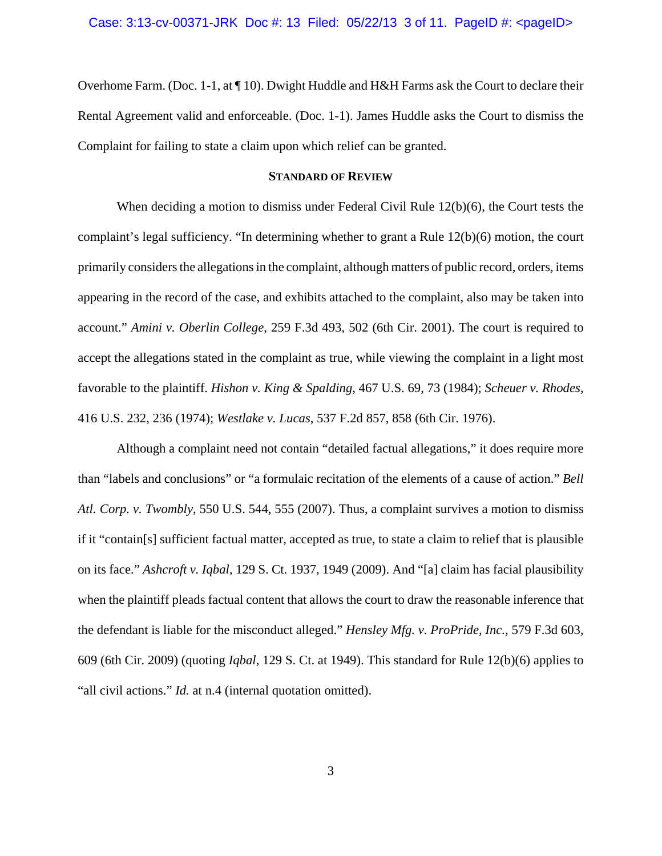Overhome Farm. (Doc. 1-1, at ¶ 10). Dwight Huddle and H&H Farms ask the Court to declare their Rental Agreement valid and enforceable. (Doc. 1-1). James Huddle asks the Court to dismiss the Complaint for failing to state a claim upon which relief can be granted.

## **STANDARD OF REVIEW**

When deciding a motion to dismiss under Federal Civil Rule 12(b)(6), the Court tests the complaint's legal sufficiency. "In determining whether to grant a Rule 12(b)(6) motion, the court primarily considers the allegations in the complaint, although matters of public record, orders, items appearing in the record of the case, and exhibits attached to the complaint, also may be taken into account." *Amini v. Oberlin College*, 259 F.3d 493, 502 (6th Cir. 2001). The court is required to accept the allegations stated in the complaint as true, while viewing the complaint in a light most favorable to the plaintiff. *Hishon v. King & Spalding*, 467 U.S. 69, 73 (1984); *Scheuer v. Rhodes*, 416 U.S. 232, 236 (1974); *Westlake v. Lucas*, 537 F.2d 857, 858 (6th Cir. 1976).

Although a complaint need not contain "detailed factual allegations," it does require more than "labels and conclusions" or "a formulaic recitation of the elements of a cause of action." *Bell Atl. Corp. v. Twombly*, 550 U.S. 544, 555 (2007). Thus, a complaint survives a motion to dismiss if it "contain[s] sufficient factual matter, accepted as true, to state a claim to relief that is plausible on its face." *Ashcroft v. Iqbal*, 129 S. Ct. 1937, 1949 (2009). And "[a] claim has facial plausibility when the plaintiff pleads factual content that allows the court to draw the reasonable inference that the defendant is liable for the misconduct alleged." *Hensley Mfg. v. ProPride, Inc.*, 579 F.3d 603, 609 (6th Cir. 2009) (quoting *Iqbal*, 129 S. Ct. at 1949). This standard for Rule 12(b)(6) applies to "all civil actions." *Id.* at n.4 (internal quotation omitted).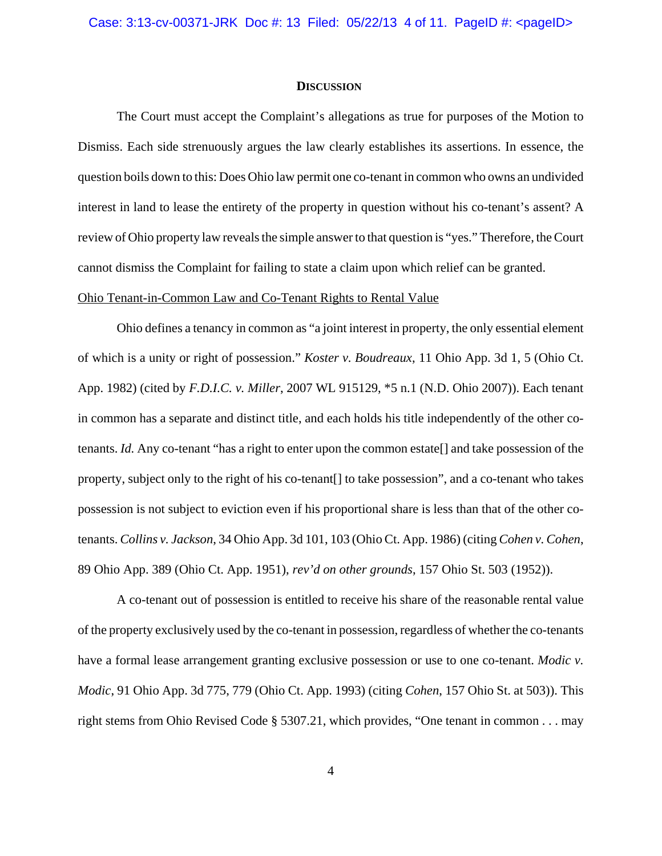#### **DISCUSSION**

The Court must accept the Complaint's allegations as true for purposes of the Motion to Dismiss. Each side strenuously argues the law clearly establishes its assertions. In essence, the question boils down to this: Does Ohio law permit one co-tenant in common who owns an undivided interest in land to lease the entirety of the property in question without his co-tenant's assent? A review of Ohio property law reveals the simple answer to that question is "yes." Therefore, the Court cannot dismiss the Complaint for failing to state a claim upon which relief can be granted.

## Ohio Tenant-in-Common Law and Co-Tenant Rights to Rental Value

Ohio defines a tenancy in common as "a joint interest in property, the only essential element of which is a unity or right of possession." *Koster v. Boudreaux*, 11 Ohio App. 3d 1, 5 (Ohio Ct. App. 1982) (cited by *F.D.I.C. v. Miller*, 2007 WL 915129, \*5 n.1 (N.D. Ohio 2007)). Each tenant in common has a separate and distinct title, and each holds his title independently of the other cotenants. *Id.* Any co-tenant "has a right to enter upon the common estate[] and take possession of the property, subject only to the right of his co-tenant[] to take possession", and a co-tenant who takes possession is not subject to eviction even if his proportional share is less than that of the other cotenants. *Collins v. Jackson*, 34 Ohio App. 3d 101, 103 (Ohio Ct. App. 1986) (citing *Cohen v. Cohen*, 89 Ohio App. 389 (Ohio Ct. App. 1951), *rev'd on other grounds*, 157 Ohio St. 503 (1952)).

A co-tenant out of possession is entitled to receive his share of the reasonable rental value of the property exclusively used by the co-tenant in possession, regardless of whether the co-tenants have a formal lease arrangement granting exclusive possession or use to one co-tenant. *Modic v. Modic*, 91 Ohio App. 3d 775, 779 (Ohio Ct. App. 1993) (citing *Cohen*, 157 Ohio St. at 503)). This right stems from Ohio Revised Code § 5307.21, which provides, "One tenant in common . . . may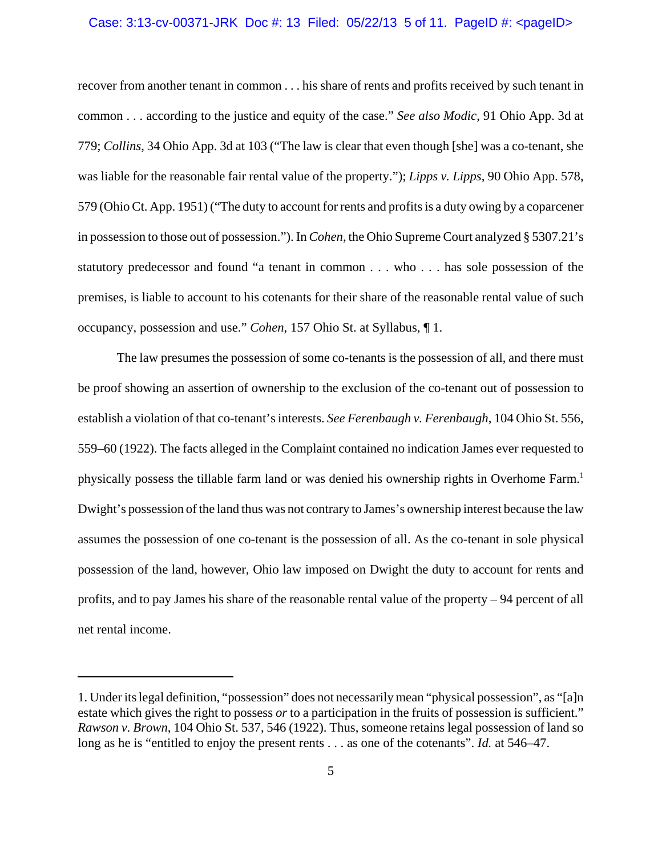#### Case: 3:13-cv-00371-JRK Doc #: 13 Filed: 05/22/13 5 of 11. PageID #: <pageID>

recover from another tenant in common . . . his share of rents and profits received by such tenant in common . . . according to the justice and equity of the case." *See also Modic*, 91 Ohio App. 3d at 779; *Collins*, 34 Ohio App. 3d at 103 ("The law is clear that even though [she] was a co-tenant, she was liable for the reasonable fair rental value of the property."); *Lipps v. Lipps*, 90 Ohio App. 578, 579 (Ohio Ct. App. 1951) ("The duty to account for rents and profits is a duty owing by a coparcener in possession to those out of possession."). In *Cohen*, the Ohio Supreme Court analyzed § 5307.21's statutory predecessor and found "a tenant in common . . . who . . . has sole possession of the premises, is liable to account to his cotenants for their share of the reasonable rental value of such occupancy, possession and use." *Cohen*, 157 Ohio St. at Syllabus, ¶ 1.

The law presumes the possession of some co-tenants is the possession of all, and there must be proof showing an assertion of ownership to the exclusion of the co-tenant out of possession to establish a violation of that co-tenant's interests. *See Ferenbaugh v. Ferenbaugh*, 104 Ohio St. 556, 559–60 (1922). The facts alleged in the Complaint contained no indication James ever requested to physically possess the tillable farm land or was denied his ownership rights in Overhome Farm.1 Dwight's possession of the land thus was not contrary to James's ownership interest because the law assumes the possession of one co-tenant is the possession of all. As the co-tenant in sole physical possession of the land, however, Ohio law imposed on Dwight the duty to account for rents and profits, and to pay James his share of the reasonable rental value of the property – 94 percent of all net rental income.

<sup>1.</sup> Under its legal definition, "possession" does not necessarily mean "physical possession", as "[a]n estate which gives the right to possess *or* to a participation in the fruits of possession is sufficient." *Rawson v. Brown*, 104 Ohio St. 537, 546 (1922). Thus, someone retains legal possession of land so long as he is "entitled to enjoy the present rents . . . as one of the cotenants". *Id.* at 546–47.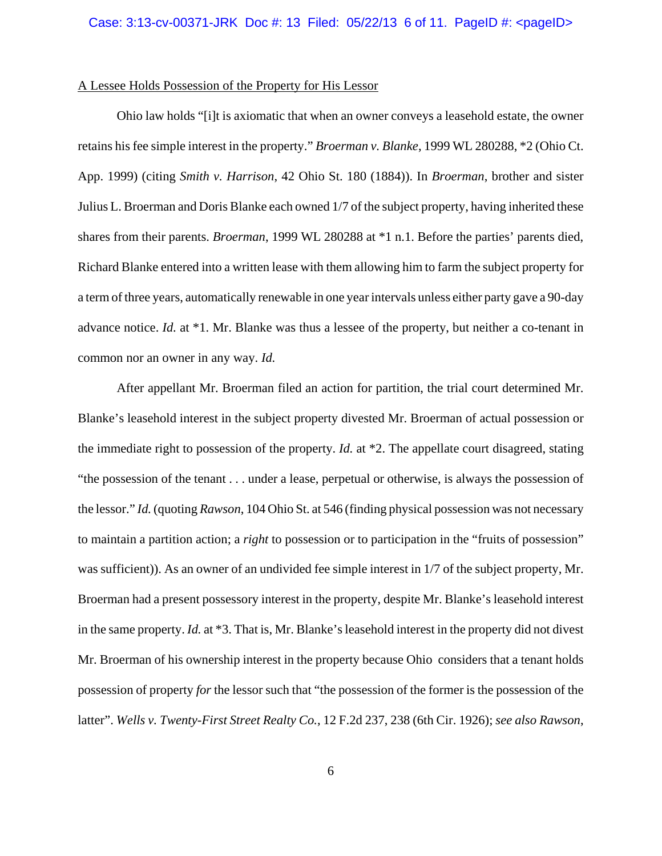## A Lessee Holds Possession of the Property for His Lessor

Ohio law holds "[i]t is axiomatic that when an owner conveys a leasehold estate, the owner retains his fee simple interest in the property." *Broerman v. Blanke*, 1999 WL 280288, \*2 (Ohio Ct. App. 1999) (citing *Smith v. Harrison*, 42 Ohio St. 180 (1884)). In *Broerman*, brother and sister Julius L. Broerman and Doris Blanke each owned 1/7 of the subject property, having inherited these shares from their parents. *Broerman*, 1999 WL 280288 at \*1 n.1. Before the parties' parents died, Richard Blanke entered into a written lease with them allowing him to farm the subject property for a term of three years, automatically renewable in one year intervals unless either party gave a 90-day advance notice. *Id.* at \*1. Mr. Blanke was thus a lessee of the property, but neither a co-tenant in common nor an owner in any way. *Id.* 

After appellant Mr. Broerman filed an action for partition, the trial court determined Mr. Blanke's leasehold interest in the subject property divested Mr. Broerman of actual possession or the immediate right to possession of the property. *Id.* at \*2. The appellate court disagreed, stating "the possession of the tenant . . . under a lease, perpetual or otherwise, is always the possession of the lessor." *Id.* (quoting *Rawson*, 104 Ohio St. at 546 (finding physical possession was not necessary to maintain a partition action; a *right* to possession or to participation in the "fruits of possession" was sufficient)). As an owner of an undivided fee simple interest in 1/7 of the subject property, Mr. Broerman had a present possessory interest in the property, despite Mr. Blanke's leasehold interest in the same property. *Id.* at \*3. That is, Mr. Blanke's leasehold interest in the property did not divest Mr. Broerman of his ownership interest in the property because Ohio considers that a tenant holds possession of property *for* the lessor such that "the possession of the former is the possession of the latter". *Wells v. Twenty-First Street Realty Co.*, 12 F.2d 237, 238 (6th Cir. 1926); *see also Rawson*,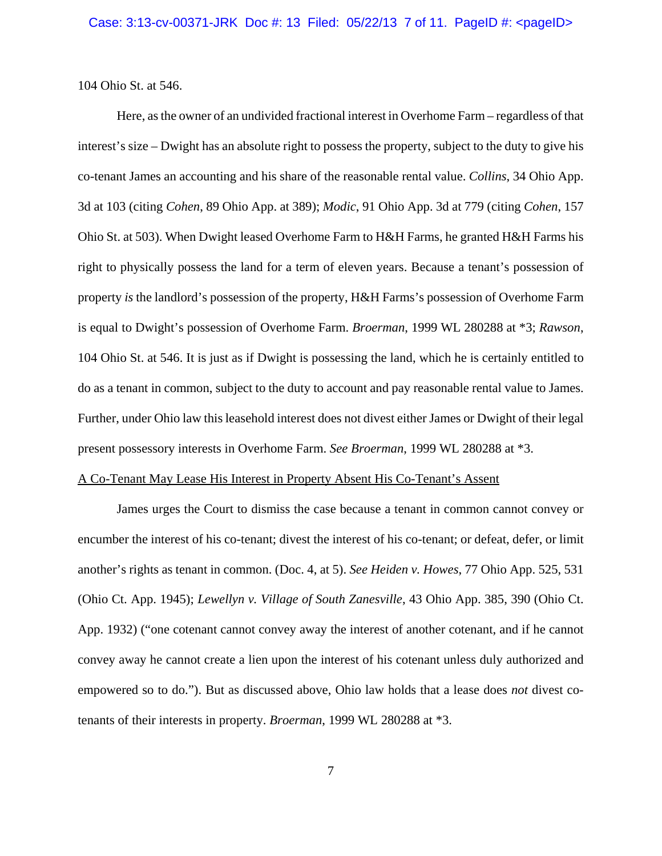104 Ohio St. at 546.

Here, as the owner of an undivided fractional interest in Overhome Farm – regardless of that interest's size – Dwight has an absolute right to possess the property, subject to the duty to give his co-tenant James an accounting and his share of the reasonable rental value. *Collins*, 34 Ohio App. 3d at 103 (citing *Cohen*, 89 Ohio App. at 389); *Modic*, 91 Ohio App. 3d at 779 (citing *Cohen*, 157 Ohio St. at 503). When Dwight leased Overhome Farm to H&H Farms, he granted H&H Farms his right to physically possess the land for a term of eleven years. Because a tenant's possession of property *is* the landlord's possession of the property, H&H Farms's possession of Overhome Farm is equal to Dwight's possession of Overhome Farm. *Broerman*, 1999 WL 280288 at \*3; *Rawson*, 104 Ohio St. at 546. It is just as if Dwight is possessing the land, which he is certainly entitled to do as a tenant in common, subject to the duty to account and pay reasonable rental value to James. Further, under Ohio law this leasehold interest does not divest either James or Dwight of their legal present possessory interests in Overhome Farm. *See Broerman*, 1999 WL 280288 at \*3.

## A Co-Tenant May Lease His Interest in Property Absent His Co-Tenant's Assent

James urges the Court to dismiss the case because a tenant in common cannot convey or encumber the interest of his co-tenant; divest the interest of his co-tenant; or defeat, defer, or limit another's rights as tenant in common. (Doc. 4, at 5). *See Heiden v. Howes*, 77 Ohio App. 525, 531 (Ohio Ct. App. 1945); *Lewellyn v. Village of South Zanesville*, 43 Ohio App. 385, 390 (Ohio Ct. App. 1932) ("one cotenant cannot convey away the interest of another cotenant, and if he cannot convey away he cannot create a lien upon the interest of his cotenant unless duly authorized and empowered so to do."). But as discussed above, Ohio law holds that a lease does *not* divest cotenants of their interests in property. *Broerman*, 1999 WL 280288 at \*3.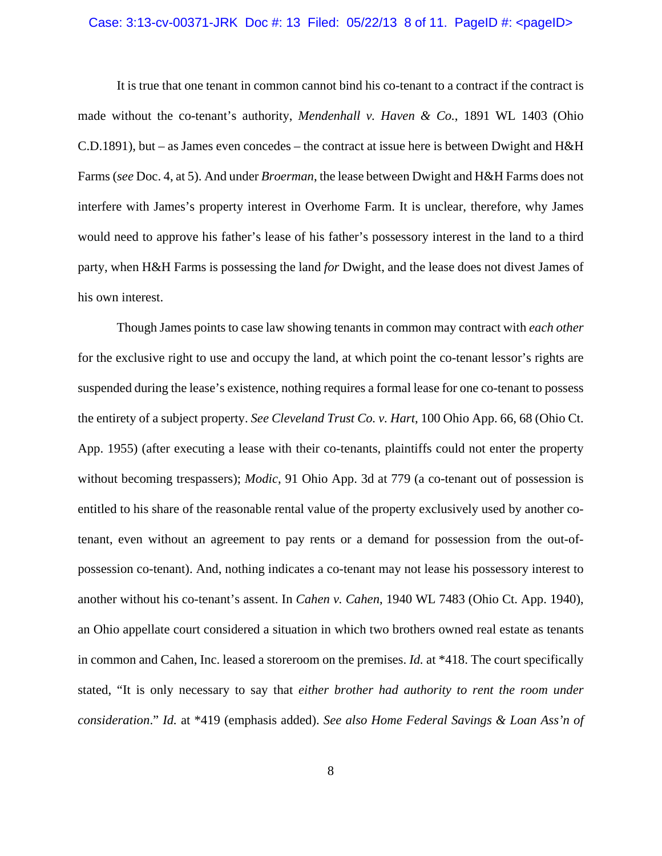#### Case: 3:13-cv-00371-JRK Doc #: 13 Filed: 05/22/13 8 of 11. PageID #: <pageID>

It is true that one tenant in common cannot bind his co-tenant to a contract if the contract is made without the co-tenant's authority, *Mendenhall v. Haven & Co.*, 1891 WL 1403 (Ohio C.D.1891), but – as James even concedes – the contract at issue here is between Dwight and H&H Farms (*see* Doc. 4, at 5). And under *Broerman*, the lease between Dwight and H&H Farms does not interfere with James's property interest in Overhome Farm. It is unclear, therefore, why James would need to approve his father's lease of his father's possessory interest in the land to a third party, when H&H Farms is possessing the land *for* Dwight, and the lease does not divest James of his own interest.

Though James points to case law showing tenants in common may contract with *each other* for the exclusive right to use and occupy the land, at which point the co-tenant lessor's rights are suspended during the lease's existence, nothing requires a formal lease for one co-tenant to possess the entirety of a subject property. *See Cleveland Trust Co. v. Hart*, 100 Ohio App. 66, 68 (Ohio Ct. App. 1955) (after executing a lease with their co-tenants, plaintiffs could not enter the property without becoming trespassers); *Modic*, 91 Ohio App. 3d at 779 (a co-tenant out of possession is entitled to his share of the reasonable rental value of the property exclusively used by another cotenant, even without an agreement to pay rents or a demand for possession from the out-ofpossession co-tenant). And, nothing indicates a co-tenant may not lease his possessory interest to another without his co-tenant's assent. In *Cahen v. Cahen*, 1940 WL 7483 (Ohio Ct. App. 1940), an Ohio appellate court considered a situation in which two brothers owned real estate as tenants in common and Cahen, Inc. leased a storeroom on the premises. *Id.* at \*418. The court specifically stated, "It is only necessary to say that *either brother had authority to rent the room under consideration*." *Id.* at \*419 (emphasis added). *See also Home Federal Savings & Loan Ass'n of*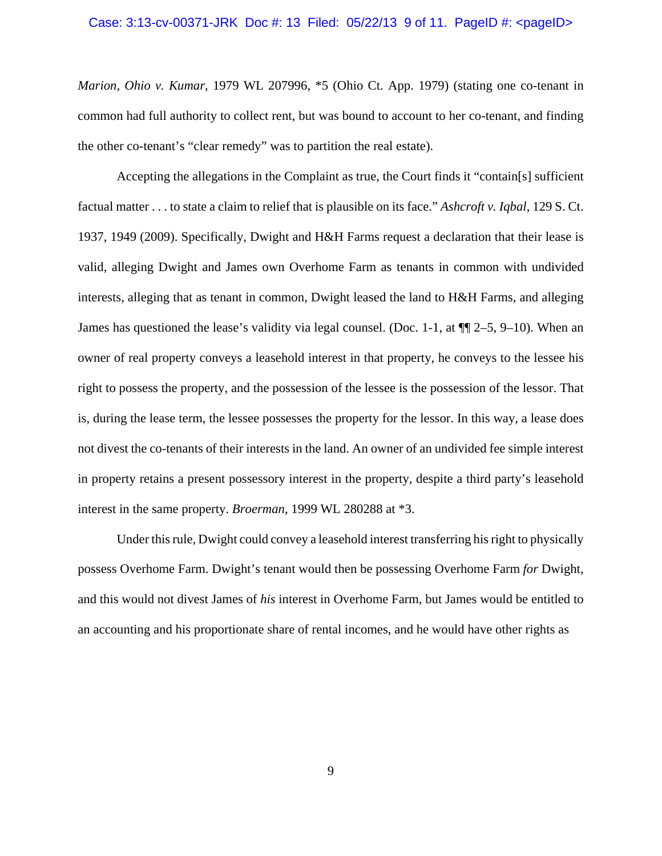# Case: 3:13-cv-00371-JRK Doc #: 13 Filed: 05/22/13 9 of 11. PageID #: <pageID>

*Marion, Ohio v. Kumar*, 1979 WL 207996, \*5 (Ohio Ct. App. 1979) (stating one co-tenant in common had full authority to collect rent, but was bound to account to her co-tenant, and finding the other co-tenant's "clear remedy" was to partition the real estate).

Accepting the allegations in the Complaint as true, the Court finds it "contain[s] sufficient factual matter . . . to state a claim to relief that is plausible on its face." *Ashcroft v. Iqbal*, 129 S. Ct. 1937, 1949 (2009). Specifically, Dwight and H&H Farms request a declaration that their lease is valid, alleging Dwight and James own Overhome Farm as tenants in common with undivided interests, alleging that as tenant in common, Dwight leased the land to H&H Farms, and alleging James has questioned the lease's validity via legal counsel. (Doc. 1-1, at  $\P$  $[2-5, 9-10)$ ). When an owner of real property conveys a leasehold interest in that property, he conveys to the lessee his right to possess the property, and the possession of the lessee is the possession of the lessor. That is, during the lease term, the lessee possesses the property for the lessor. In this way, a lease does not divest the co-tenants of their interests in the land. An owner of an undivided fee simple interest in property retains a present possessory interest in the property, despite a third party's leasehold interest in the same property. *Broerman*, 1999 WL 280288 at \*3.

Under this rule, Dwight could convey a leasehold interest transferring his right to physically possess Overhome Farm. Dwight's tenant would then be possessing Overhome Farm *for* Dwight, and this would not divest James of *his* interest in Overhome Farm, but James would be entitled to an accounting and his proportionate share of rental incomes, and he would have other rights as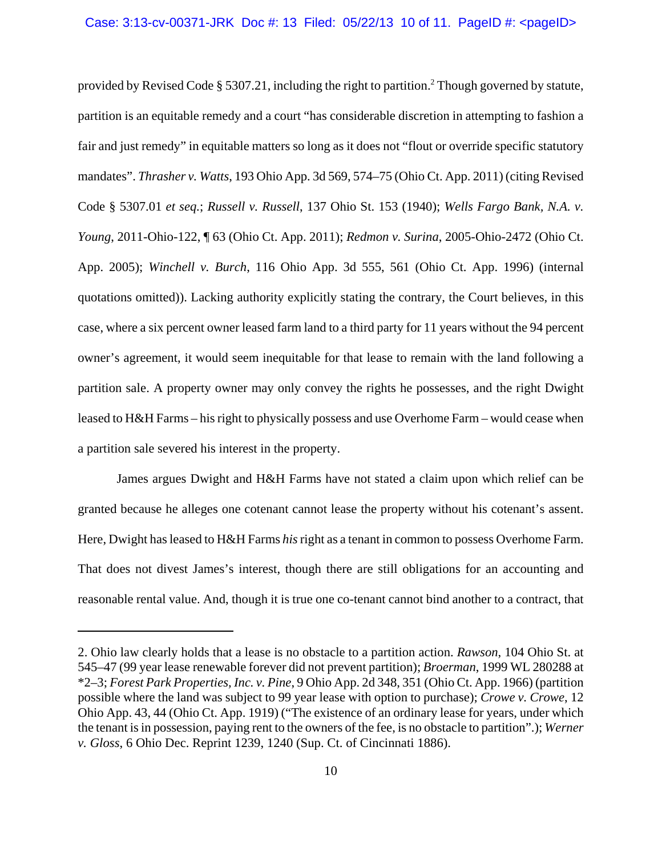provided by Revised Code § 5307.21, including the right to partition.<sup>2</sup> Though governed by statute, partition is an equitable remedy and a court "has considerable discretion in attempting to fashion a fair and just remedy" in equitable matters so long as it does not "flout or override specific statutory mandates". *Thrasher v. Watts*, 193 Ohio App. 3d 569, 574–75 (Ohio Ct. App. 2011) (citing Revised Code § 5307.01 *et seq.*; *Russell v. Russell*, 137 Ohio St. 153 (1940); *Wells Fargo Bank, N.A. v. Young*, 2011-Ohio-122, ¶ 63 (Ohio Ct. App. 2011); *Redmon v. Surina*, 2005-Ohio-2472 (Ohio Ct. App. 2005); *Winchell v. Burch*, 116 Ohio App. 3d 555, 561 (Ohio Ct. App. 1996) (internal quotations omitted)). Lacking authority explicitly stating the contrary, the Court believes, in this case, where a six percent owner leased farm land to a third party for 11 years without the 94 percent owner's agreement, it would seem inequitable for that lease to remain with the land following a partition sale. A property owner may only convey the rights he possesses, and the right Dwight leased to H&H Farms – his right to physically possess and use Overhome Farm – would cease when a partition sale severed his interest in the property.

James argues Dwight and H&H Farms have not stated a claim upon which relief can be granted because he alleges one cotenant cannot lease the property without his cotenant's assent. Here, Dwight has leased to H&H Farms *his* right as a tenant in common to possess Overhome Farm. That does not divest James's interest, though there are still obligations for an accounting and reasonable rental value. And, though it is true one co-tenant cannot bind another to a contract, that

<sup>2.</sup> Ohio law clearly holds that a lease is no obstacle to a partition action. *Rawson*, 104 Ohio St. at 545–47 (99 year lease renewable forever did not prevent partition); *Broerman*, 1999 WL 280288 at \*2–3; *Forest Park Properties, Inc. v. Pine*, 9 Ohio App. 2d 348, 351 (Ohio Ct. App. 1966) (partition possible where the land was subject to 99 year lease with option to purchase); *Crowe v. Crowe*, 12 Ohio App. 43, 44 (Ohio Ct. App. 1919) ("The existence of an ordinary lease for years, under which the tenant is in possession, paying rent to the owners of the fee, is no obstacle to partition".); *Werner v. Gloss*, 6 Ohio Dec. Reprint 1239, 1240 (Sup. Ct. of Cincinnati 1886).